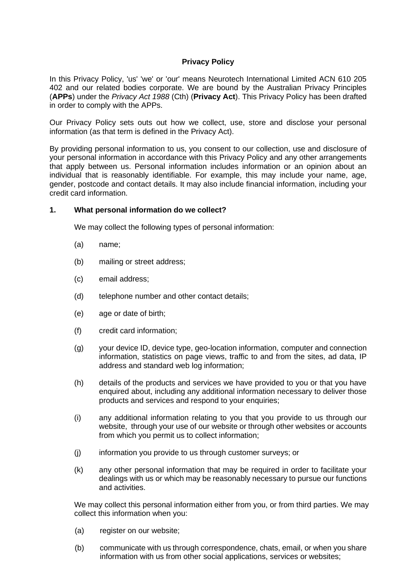# **Privacy Policy**

In this Privacy Policy, 'us' 'we' or 'our' means Neurotech International Limited ACN 610 205 402 and our related bodies corporate. We are bound by the Australian Privacy Principles (**APPs**) under the *Privacy Act 1988* (Cth) (**Privacy Act**). This Privacy Policy has been drafted in order to comply with the APPs.

Our Privacy Policy sets outs out how we collect, use, store and disclose your personal information (as that term is defined in the Privacy Act).

By providing personal information to us, you consent to our collection, use and disclosure of your personal information in accordance with this Privacy Policy and any other arrangements that apply between us. Personal information includes information or an opinion about an individual that is reasonably identifiable. For example, this may include your name, age, gender, postcode and contact details. It may also include financial information, including your credit card information.

# **1. What personal information do we collect?**

We may collect the following types of personal information:

- (a) name;
- (b) mailing or street address;
- (c) email address;
- (d) telephone number and other contact details;
- (e) age or date of birth;
- (f) credit card information;
- (g) your device ID, device type, geo-location information, computer and connection information, statistics on page views, traffic to and from the sites, ad data, IP address and standard web log information;
- (h) details of the products and services we have provided to you or that you have enquired about, including any additional information necessary to deliver those products and services and respond to your enquiries;
- (i) any additional information relating to you that you provide to us through our website, through your use of our website or through other websites or accounts from which you permit us to collect information;
- (j) information you provide to us through customer surveys; or
- (k) any other personal information that may be required in order to facilitate your dealings with us or which may be reasonably necessary to pursue our functions and activities.

We may collect this personal information either from you, or from third parties. We may collect this information when you:

- (a) register on our website;
- (b) communicate with us through correspondence, chats, email, or when you share information with us from other social applications, services or websites;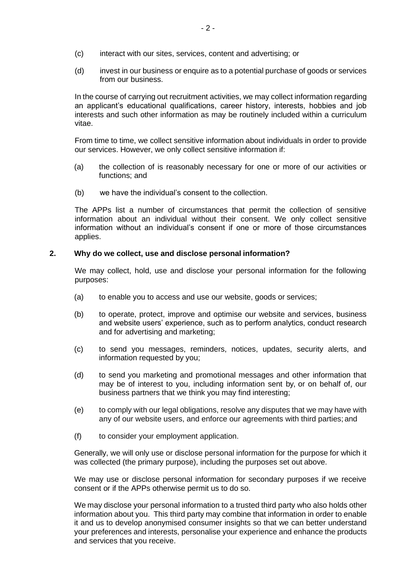- (c) interact with our sites, services, content and advertising; or
- (d) invest in our business or enquire as to a potential purchase of goods or services from our business.

In the course of carrying out recruitment activities, we may collect information regarding an applicant's educational qualifications, career history, interests, hobbies and job interests and such other information as may be routinely included within a curriculum vitae.

From time to time, we collect sensitive information about individuals in order to provide our services. However, we only collect sensitive information if:

- (a) the collection of is reasonably necessary for one or more of our activities or functions; and
- (b) we have the individual's consent to the collection.

The APPs list a number of circumstances that permit the collection of sensitive information about an individual without their consent. We only collect sensitive information without an individual's consent if one or more of those circumstances applies.

### **2. Why do we collect, use and disclose personal information?**

We may collect, hold, use and disclose your personal information for the following purposes:

- (a) to enable you to access and use our website, goods or services;
- (b) to operate, protect, improve and optimise our website and services, business and website users' experience, such as to perform analytics, conduct research and for advertising and marketing;
- (c) to send you messages, reminders, notices, updates, security alerts, and information requested by you;
- (d) to send you marketing and promotional messages and other information that may be of interest to you, including information sent by, or on behalf of, our business partners that we think you may find interesting;
- (e) to comply with our legal obligations, resolve any disputes that we may have with any of our website users, and enforce our agreements with third parties; and
- (f) to consider your employment application.

Generally, we will only use or disclose personal information for the purpose for which it was collected (the primary purpose), including the purposes set out above.

We may use or disclose personal information for secondary purposes if we receive consent or if the APPs otherwise permit us to do so.

We may disclose your personal information to a trusted third party who also holds other information about you. This third party may combine that information in order to enable it and us to develop anonymised consumer insights so that we can better understand your preferences and interests, personalise your experience and enhance the products and services that you receive.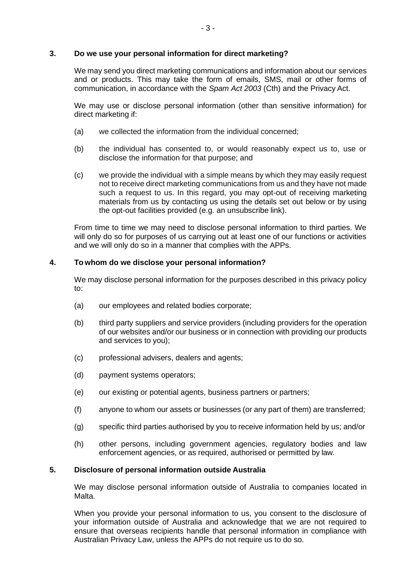# **3. Do we use your personal information for direct marketing?**

We may send you direct marketing communications and information about our services and or products. This may take the form of emails, SMS, mail or other forms of communication, in accordance with the *Spam Act 2003* (Cth) and the Privacy Act.

We may use or disclose personal information (other than sensitive information) for direct marketing if:

- (a) we collected the information from the individual concerned;
- (b) the individual has consented to, or would reasonably expect us to, use or disclose the information for that purpose; and
- (c) we provide the individual with a simple means by which they may easily request not to receive direct marketing communications from us and they have not made such a request to us. In this regard, you may opt-out of receiving marketing materials from us by contacting us using the details set out below or by using the opt-out facilities provided (e.g. an unsubscribe link).

From time to time we may need to disclose personal information to third parties. We will only do so for purposes of us carrying out at least one of our functions or activities and we will only do so in a manner that complies with the APPs.

# **4. To whom do we disclose your personal information?**

We may disclose personal information for the purposes described in this privacy policy to:

- (a) our employees and related bodies corporate;
- (b) third party suppliers and service providers (including providers for the operation of our websites and/or our business or in connection with providing our products and services to you);
- (c) professional advisers, dealers and agents;
- (d) payment systems operators;
- (e) our existing or potential agents, business partners or partners;
- (f) anyone to whom our assets or businesses (or any part of them) are transferred;
- (g) specific third parties authorised by you to receive information held by us; and/or
- (h) other persons, including government agencies, regulatory bodies and law enforcement agencies, or as required, authorised or permitted by law.

# **5. Disclosure of personal information outside Australia**

We may disclose personal information outside of Australia to companies located in Malta.

When you provide your personal information to us, you consent to the disclosure of your information outside of Australia and acknowledge that we are not required to ensure that overseas recipients handle that personal information in compliance with Australian Privacy Law, unless the APPs do not require us to do so.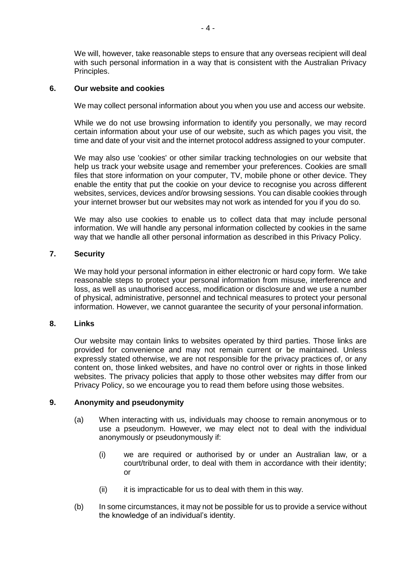We will, however, take reasonable steps to ensure that any overseas recipient will deal with such personal information in a way that is consistent with the Australian Privacy Principles.

# **6. Our website and cookies**

We may collect personal information about you when you use and access our website.

While we do not use browsing information to identify you personally, we may record certain information about your use of our website, such as which pages you visit, the time and date of your visit and the internet protocol address assigned to your computer.

We may also use 'cookies' or other similar tracking technologies on our website that help us track your website usage and remember your preferences. Cookies are small files that store information on your computer, TV, mobile phone or other device. They enable the entity that put the cookie on your device to recognise you across different websites, services, devices and/or browsing sessions. You can disable cookies through your internet browser but our websites may not work as intended for you if you do so.

We may also use cookies to enable us to collect data that may include personal information. We will handle any personal information collected by cookies in the same way that we handle all other personal information as described in this Privacy Policy.

# **7. Security**

We may hold your personal information in either electronic or hard copy form. We take reasonable steps to protect your personal information from misuse, interference and loss, as well as unauthorised access, modification or disclosure and we use a number of physical, administrative, personnel and technical measures to protect your personal information. However, we cannot guarantee the security of your personal information.

### **8. Links**

Our website may contain links to websites operated by third parties. Those links are provided for convenience and may not remain current or be maintained. Unless expressly stated otherwise, we are not responsible for the privacy practices of, or any content on, those linked websites, and have no control over or rights in those linked websites. The privacy policies that apply to those other websites may differ from our Privacy Policy, so we encourage you to read them before using those websites.

### **9. Anonymity and pseudonymity**

- (a) When interacting with us, individuals may choose to remain anonymous or to use a pseudonym. However, we may elect not to deal with the individual anonymously or pseudonymously if:
	- (i) we are required or authorised by or under an Australian law, or a court/tribunal order, to deal with them in accordance with their identity; or
	- (ii) it is impracticable for us to deal with them in this way.
- (b) In some circumstances, it may not be possible for us to provide a service without the knowledge of an individual's identity.